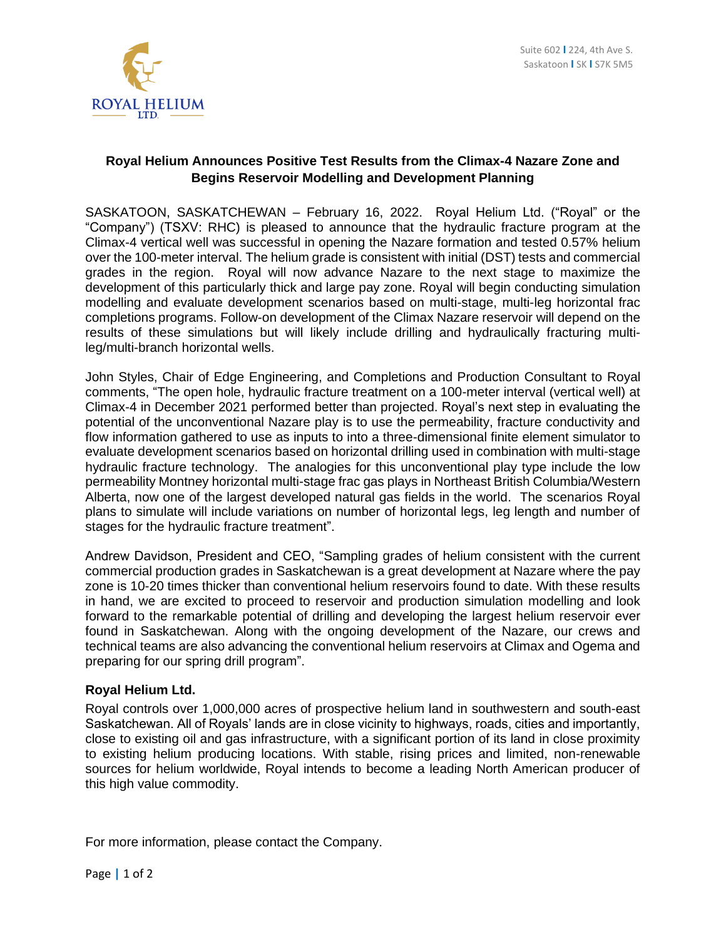

## **Royal Helium Announces Positive Test Results from the Climax-4 Nazare Zone and Begins Reservoir Modelling and Development Planning**

SASKATOON, SASKATCHEWAN – February 16, 2022. Royal Helium Ltd. ("Royal" or the "Company") (TSXV: RHC) is pleased to announce that the hydraulic fracture program at the Climax-4 vertical well was successful in opening the Nazare formation and tested 0.57% helium over the 100-meter interval. The helium grade is consistent with initial (DST) tests and commercial grades in the region. Royal will now advance Nazare to the next stage to maximize the development of this particularly thick and large pay zone. Royal will begin conducting simulation modelling and evaluate development scenarios based on multi-stage, multi-leg horizontal frac completions programs. Follow-on development of the Climax Nazare reservoir will depend on the results of these simulations but will likely include drilling and hydraulically fracturing multileg/multi-branch horizontal wells.

John Styles, Chair of Edge Engineering, and Completions and Production Consultant to Royal comments, "The open hole, hydraulic fracture treatment on a 100-meter interval (vertical well) at Climax-4 in December 2021 performed better than projected. Royal's next step in evaluating the potential of the unconventional Nazare play is to use the permeability, fracture conductivity and flow information gathered to use as inputs to into a three-dimensional finite element simulator to evaluate development scenarios based on horizontal drilling used in combination with multi-stage hydraulic fracture technology. The analogies for this unconventional play type include the low permeability Montney horizontal multi-stage frac gas plays in Northeast British Columbia/Western Alberta, now one of the largest developed natural gas fields in the world. The scenarios Royal plans to simulate will include variations on number of horizontal legs, leg length and number of stages for the hydraulic fracture treatment".

Andrew Davidson, President and CEO, "Sampling grades of helium consistent with the current commercial production grades in Saskatchewan is a great development at Nazare where the pay zone is 10-20 times thicker than conventional helium reservoirs found to date. With these results in hand, we are excited to proceed to reservoir and production simulation modelling and look forward to the remarkable potential of drilling and developing the largest helium reservoir ever found in Saskatchewan. Along with the ongoing development of the Nazare, our crews and technical teams are also advancing the conventional helium reservoirs at Climax and Ogema and preparing for our spring drill program".

## **Royal Helium Ltd.**

Royal controls over 1,000,000 acres of prospective helium land in southwestern and south-east Saskatchewan. All of Royals' lands are in close vicinity to highways, roads, cities and importantly, close to existing oil and gas infrastructure, with a significant portion of its land in close proximity to existing helium producing locations. With stable, rising prices and limited, non-renewable sources for helium worldwide, Royal intends to become a leading North American producer of this high value commodity.

For more information, please contact the Company.